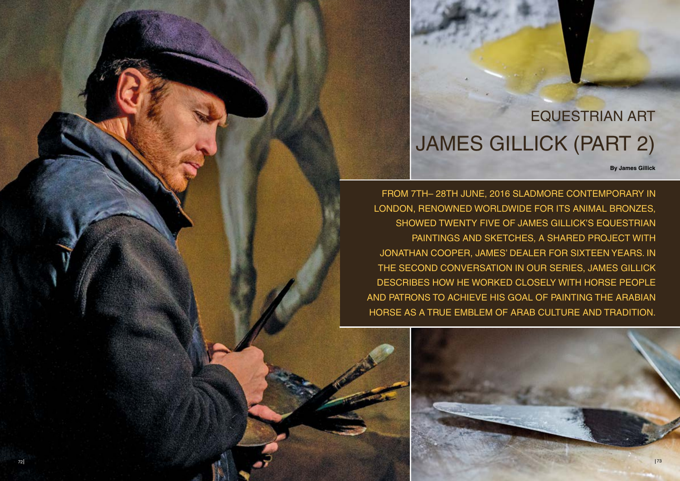FROM 7TH– 28TH JUNE, 2016 SLADMORE CONTEMPORARY IN LONDON, RENOWNED WORLDWIDE FOR ITS ANIMAL BRONZES, SHOWED TWENTY FIVE OF JAMES GILLICK'S EQUESTRIAN PAINTINGS AND SKETCHES, A SHARED PROJECT WITH JONATHAN COOPER, JAMES' DEALER FOR SIXTEEN YEARS. IN THE SECOND CONVERSATION IN OUR SERIES, JAMES GILLICK DESCRIBES HOW HE WORKED CLOSELY WITH HORSE PEOPLE AND PATRONS TO ACHIEVE HIS GOAL OF PAINTING THE ARABIAN HORSE AS A TRUE EMBLEM OF ARAB CULTURE AND TRADITION.

## JAMES GILLICK (PART 2) EQUESTRIAN ART

**By James Gillick**